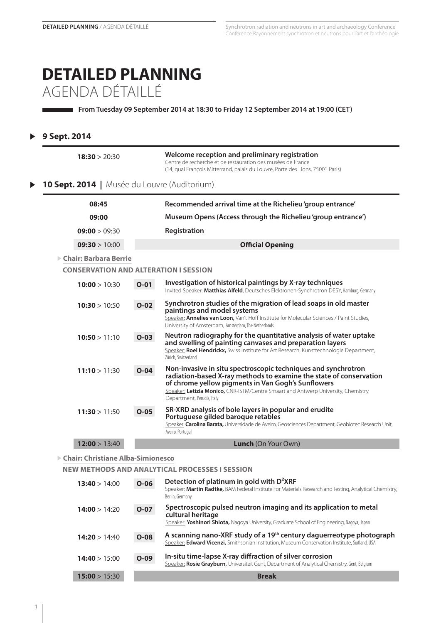# **DETAILED PLANNING** AGENDA DÉTAILLÉ

**From Tuesday 09 September 2014 at 18:30 to Friday 12 September 2014 at 19:00 (CET)**

### **9 Sept. 2014**  $\blacktriangleright$

| 18:30 > 20:30                                |          | Welcome reception and preliminary registration<br>Centre de recherche et de restauration des musées de France<br>(14, quai François Mitterrand, palais du Louvre, Porte des Lions, 75001 Paris)                                                                                                              |
|----------------------------------------------|----------|--------------------------------------------------------------------------------------------------------------------------------------------------------------------------------------------------------------------------------------------------------------------------------------------------------------|
| 10 Sept. 2014   Musée du Louvre (Auditorium) |          |                                                                                                                                                                                                                                                                                                              |
| 08:45                                        |          | Recommended arrival time at the Richelieu 'group entrance'                                                                                                                                                                                                                                                   |
| 09:00                                        |          | Museum Opens (Access through the Richelieu 'group entrance')                                                                                                                                                                                                                                                 |
| 09:00 > 09:30                                |          | Registration                                                                                                                                                                                                                                                                                                 |
| 09:30 > 10:00                                |          | <b>Official Opening</b>                                                                                                                                                                                                                                                                                      |
| $\triangleright$ Chair: Barbara Berrie       |          |                                                                                                                                                                                                                                                                                                              |
| <b>CONSERVATION AND ALTERATION I SESSION</b> |          |                                                                                                                                                                                                                                                                                                              |
| 10:00 > 10:30                                | $O-01$   | Investigation of historical paintings by X-ray techniques<br>Invited Speaker: Matthias Alfeld, Deutsches Elektronen-Synchrotron DESY, Hamburg, Germany                                                                                                                                                       |
| 10:30 > 10:50                                | $O-02$   | Synchrotron studies of the migration of lead soaps in old master<br>paintings and model systems<br>Speaker: Annelies van Loon, Van't Hoff Institute for Molecular Sciences / Paint Studies,<br>University of Amsterdam, Amsterdam, The Netherlands                                                           |
| 10:50 > 11:10                                | $O-03$   | Neutron radiography for the quantitative analysis of water uptake<br>and swelling of painting canvases and preparation layers<br>Speaker: Roel Hendrickx, Swiss Institute for Art Research, Kunsttechnologie Department,<br>Zürich, Switzerland                                                              |
| 11:10 > 11:30                                | $O-04$   | Non-invasive in situ spectroscopic techniques and synchrotron<br>radiation-based X-ray methods to examine the state of conservation<br>of chrome yellow pigments in Van Gogh's Sunflowers<br>Speaker: Letizia Monico, CNR-ISTM/Centre Smaart and Antwerp University, Chemistry<br>Department, Perugia, Italy |
| 11:30 > 11:50                                | $O-05$   | SR-XRD analysis of bole layers in popular and erudite<br>Portuguese gilded baroque retables<br>Speaker: Carolina Barata, Universidade de Aveiro, Geosciences Department, Geobiotec Research Unit,<br>Aveiro, Portugal                                                                                        |
| 12:00 > 13:40                                |          | <b>Lunch</b> (On Your Own)                                                                                                                                                                                                                                                                                   |
| ▶ Chair: Christiane Alba-Simionesco          |          |                                                                                                                                                                                                                                                                                                              |
|                                              |          | NEW METHODS AND ANALYTICAL PROCESSES I SESSION                                                                                                                                                                                                                                                               |
| 13:40 > 14:00                                | $O - 06$ | Detection of platinum in gold with D <sup>2</sup> XRF                                                                                                                                                                                                                                                        |

| 13:40 > 14:00 | U-UO   | Speaker: Martin Radtke, BAM Federal Institute For Materials Research and Testing, Analytical Chemistry,<br>Berlin, Germany                                                         |
|---------------|--------|------------------------------------------------------------------------------------------------------------------------------------------------------------------------------------|
| 14:00 > 14:20 | $O-07$ | Spectroscopic pulsed neutron imaging and its application to metal<br>cultural heritage                                                                                             |
|               |        | Speaker: Yoshinori Shiota, Nagoya University, Graduate School of Engineering, Nagoya, Japan                                                                                        |
| 14:20 > 14:40 | $O-08$ | A scanning nano-XRF study of a 19 <sup>th</sup> century daguerreotype photograph<br>Speaker: Edward Vicenzi, Smithsonian Institution, Museum Conservation Institute, Suitland, USA |
| 14:40 > 15:00 | $O-09$ | In-situ time-lapse X-ray diffraction of silver corrosion<br>Speaker: Rosie Grayburn, Universiteit Gent, Department of Analytical Chemistry, Gent, Belgium                          |
| 15:00 > 15:30 |        | <b>Break</b>                                                                                                                                                                       |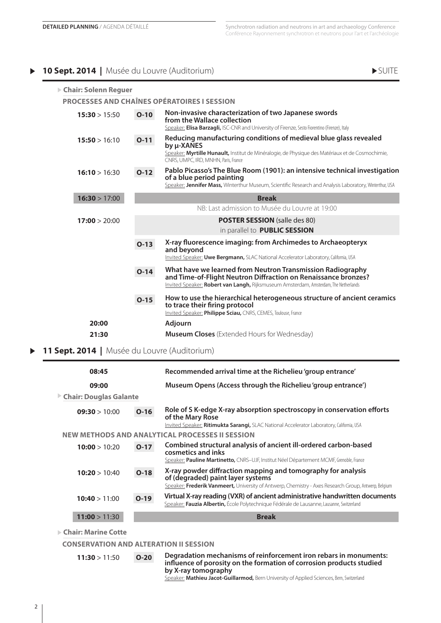### **10 Sept. 2014** | Musée du Louvre (Auditorium) **SUITE**

| ▶ Chair: Solenn Reguer |        |                                                                                                                                                                                                                             |
|------------------------|--------|-----------------------------------------------------------------------------------------------------------------------------------------------------------------------------------------------------------------------------|
|                        |        | <b>PROCESSES AND CHAÎNES OPÉRATOIRES I SESSION</b>                                                                                                                                                                          |
| 15:30 > 15:50          | $O-10$ | Non-invasive characterization of two Japanese swords<br>from the Wallace collection<br>Speaker: Elisa Barzagli, ISC-CNR and University of Firenze, Sesto Fiorentino (Firenze), Italy                                        |
| 15:50 > 16:10          | $O-11$ | Reducing manufacturing conditions of medieval blue glass revealed<br>by µ-XANES<br>Speaker: Myrtille Hunault, Institut de Minéralogie, de Physique des Matériaux et de Cosmochimie,<br>CNRS, UMPC, IRD, MNHN, Paris, France |
| 16:10 > 16:30          | $O-12$ | Pablo Picasso's The Blue Room (1901): an intensive technical investigation<br>of a blue period painting<br>Speaker: Jennifer Mass, Winterthur Museum, Scientific Research and Analysis Laboratory, Winterthur, USA          |
| 16:30 > 17:00          |        | <b>Break</b>                                                                                                                                                                                                                |
|                        |        | NB: Last admission to Musée du Louvre at 19:00                                                                                                                                                                              |
| 17:00 > 20:00          |        | <b>POSTER SESSION</b> (salle des 80)                                                                                                                                                                                        |
|                        |        | in parallel to PUBLIC SESSION                                                                                                                                                                                               |
|                        | $O-13$ | X-ray fluorescence imaging: from Archimedes to Archaeopteryx<br>and beyond<br>Invited Speaker: Uwe Bergmann, SLAC National Accelerator Laboratory, California, USA                                                          |
|                        | $O-14$ | What have we learned from Neutron Transmission Radiography<br>and Time-of-Flight Neutron Diffraction on Renaissance bronzes?<br>Invited Speaker: Robert van Langh, Rijksmuseum Amsterdam, Amsterdam, The Netherlands        |
|                        | $O-15$ | How to use the hierarchical heterogeneous structure of ancient ceramics<br>to trace their firing protocol<br>Invited Speaker: Philippe Sciau, CNRS, CEMES, Toulouse, France                                                 |
| 20:00                  |        | <b>Adjourn</b>                                                                                                                                                                                                              |
| 21:30                  |        | <b>Museum Closes</b> (Extended Hours for Wednesday)                                                                                                                                                                         |

**11 Sept. 2014 |** Musée du Louvre (Auditorium)  $\blacktriangleright$ 

| 08:45                         |        | Recommended arrival time at the Richelieu 'group entrance'                                                                                                                                                |
|-------------------------------|--------|-----------------------------------------------------------------------------------------------------------------------------------------------------------------------------------------------------------|
| 09:00                         |        | Museum Opens (Access through the Richelieu 'group entrance')                                                                                                                                              |
| <b>Chair: Douglas Galante</b> |        |                                                                                                                                                                                                           |
| 09:30 > 10:00                 | $O-16$ | Role of S K-edge X-ray absorption spectroscopy in conservation efforts<br>of the Mary Rose<br>Invited Speaker: Ritimukta Sarangi, SLAC National Accelerator Laboratory, California, USA                   |
|                               |        | <b>NEW METHODS AND ANALYTICAL PROCESSES II SESSION</b>                                                                                                                                                    |
| 10:00 > 10:20                 | $O-17$ | Combined structural analysis of ancient ill-ordered carbon-based<br>cosmetics and inks<br>Speaker: Pauline Martinetto, CNRS-UJF, Institut Néel Département MCMF, Grenoble, France                         |
| 10:20 > 10:40                 | $O-18$ | X-ray powder diffraction mapping and tomography for analysis<br>of (degraded) paint layer systems<br>Speaker: Frederik Vanmeert, University of Antwerp, Chemistry - Axes Research Group, Antwerp, Belgium |
| 10:40 > 11:00                 | $O-19$ | Virtual X-ray reading (VXR) of ancient administrative handwritten documents<br>Speaker: Fauzia Albertin, École Polytechnique Fédérale de Lausanne, Lausanne, Switzerland                                  |
| 11:00 > 11:30                 |        | <b>Break</b>                                                                                                                                                                                              |
| Chain Maria - Catta           |        |                                                                                                                                                                                                           |

**Chair: Marine Cotte**

**Conservation and Alteration II Session**

| $O-20$<br>11:30 > 11:50 | Degradation mechanisms of reinforcement iron rebars in monuments:<br>influence of porosity on the formation of corrosion products studied<br>by X-ray tomography<br>Speaker: Mathieu Jacot-Guillarmod, Bern University of Applied Sciences, Bern, Switzerland |
|-------------------------|---------------------------------------------------------------------------------------------------------------------------------------------------------------------------------------------------------------------------------------------------------------|
|-------------------------|---------------------------------------------------------------------------------------------------------------------------------------------------------------------------------------------------------------------------------------------------------------|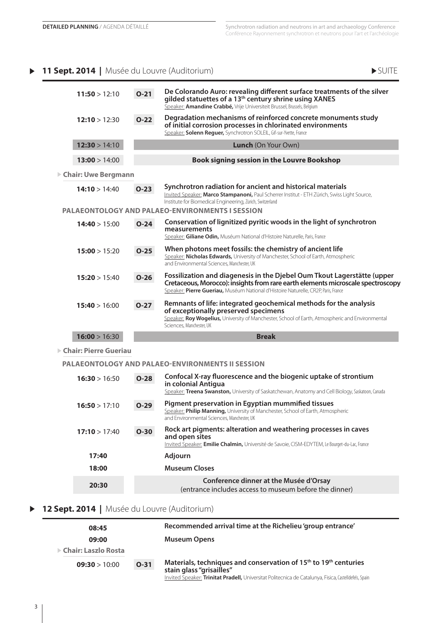## **11 Sept. 2014** | Musée du Louvre (Auditorium)  $\blacktriangleright$  SUITE



| 11:50 > 12:10 | $O-21$        | De Colorando Auro: revealing different surface treatments of the silver<br>gilded statuettes of a 13 <sup>th</sup> century shrine using XANES<br>Speaker: Amandine Crabbé, Vrije Universiteit Brussel, Brussels, Belgium                         |
|---------------|---------------|--------------------------------------------------------------------------------------------------------------------------------------------------------------------------------------------------------------------------------------------------|
| 12:10 > 12:30 | $O-22$        | Degradation mechanisms of reinforced concrete monuments study<br>of initial corrosion processes in chlorinated environments<br>Speaker: Solenn Reguer, Synchrotron SOLEIL, Gif-sur-Yvette, France                                                |
| 12:30 > 14:10 |               | Lunch (On Your Own)                                                                                                                                                                                                                              |
| 13:00 > 14:00 |               | Book signing session in the Louvre Bookshop                                                                                                                                                                                                      |
|               |               |                                                                                                                                                                                                                                                  |
| 14:10 > 14:40 | $O-23$        | Synchrotron radiation for ancient and historical materials<br>Invited Speaker: Marco Stampanoni, Paul Scherrer Institut - ETH Zürich, Swiss Light Source,<br>Institute for Biomedical Engineering, Zürich, Switzerland                           |
|               |               | Conservation of lignitized pyritic woods in the light of synchrotron                                                                                                                                                                             |
|               |               | measurements<br>Speaker: Giliane Odin, Muséum National d'Histoire Naturelle, Paris, France                                                                                                                                                       |
| 15:00 > 15:20 | $O-25$        | When photons meet fossils: the chemistry of ancient life<br>Speaker: Nicholas Edwards, University of Manchester, School of Earth, Atmospheric<br>and Environmental Sciences, Manchester, UK                                                      |
| 15:20 > 15:40 | $O-26$        | Fossilization and diagenesis in the Djebel Oum Tkout Lagerstätte (upper<br>Cretaceous, Morocco): insights from rare earth elements microscale spectroscopy<br>Speaker: Pierre Gueriau, Muséum National d'Histoire Naturelle, CR2P, Paris, France |
| 15:40 > 16:00 | $0 - 27$      | Remnants of life: integrated geochemical methods for the analysis<br>of exceptionally preserved specimens<br>Speaker: Roy Wogelius, University of Manchester, School of Earth, Atmospheric and Environmental<br>Sciences, Manchester, UK         |
| 16:00 > 16:30 |               | <b>Break</b>                                                                                                                                                                                                                                     |
|               |               |                                                                                                                                                                                                                                                  |
|               |               | <b>PALAEONTOLOGY AND PALAEO-ENVIRONMENTS II SESSION</b>                                                                                                                                                                                          |
| 16:30 > 16:50 | $O-28$        | Confocal X-ray fluorescence and the biogenic uptake of strontium<br>in colonial Antigua<br>Speaker: Treena Swanston, University of Saskatchewan, Anatomy and Cell Biology, Saskatoon, Canada                                                     |
| 16:50 > 17:10 | $O-29$        | Pigment preservation in Egyptian mummified tissues<br>Speaker: Philip Manning, University of Manchester, School of Earth, Atmospheric<br>and Environmental Sciences, Manchester, UK                                                              |
| 17:10 > 17:40 | $O-30$        | Rock art pigments: alteration and weathering processes in caves<br>and open sites<br>Invited Speaker: Emilie Chalmin, Université de Savoie, CISM-EDYTEM, Le Bourget-du-Lac, France                                                               |
| 17:40         |               | <b>Adjourn</b>                                                                                                                                                                                                                                   |
| 18:00         |               | <b>Museum Closes</b>                                                                                                                                                                                                                             |
| 20:30         |               | Conference dinner at the Musée d'Orsay<br>(entrance includes access to museum before the dinner)                                                                                                                                                 |
|               | 14:40 > 15:00 | ▶ Chair: Uwe Bergmann<br><b>PALAEONTOLOGY AND PALAEO-ENVIRONMENTS I SESSION</b><br>$O-24$<br>$\triangleright$ Chair: Pierre Gueriau                                                                                                              |

### **12 Sept. 2014 |** Musée du Louvre (Auditorium)  $\blacktriangleright$

| 08:45                                |        | Recommended arrival time at the Richelieu 'group entrance'                                                                                                                                                                    |
|--------------------------------------|--------|-------------------------------------------------------------------------------------------------------------------------------------------------------------------------------------------------------------------------------|
| 09:00                                |        | <b>Museum Opens</b>                                                                                                                                                                                                           |
| $\triangleright$ Chair: Laszlo Rosta |        |                                                                                                                                                                                                                               |
| 09:30 > 10:00                        | $O-31$ | Materials, techniques and conservation of 15 <sup>th</sup> to 19 <sup>th</sup> centuries<br>stain glass "grisailles"<br>Invited Speaker: Trinitat Pradell, Universitat Politecnica de Catalunya, Fisica, Castelldefels, Spain |